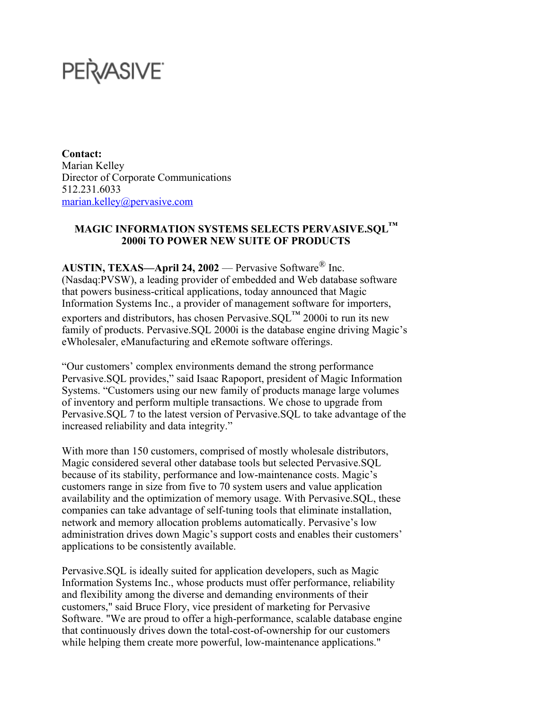## PERASIVE

**Contact:** Marian Kelley Director of Corporate Communications 512.231.6033 marian.kelley@pervasive.com

## **MAGIC INFORMATION SYSTEMS SELECTS PERVASIVE.SQL™ 2000i TO POWER NEW SUITE OF PRODUCTS**

**AUSTIN, TEXAS—April 24, 2002** –– Pervasive Software® Inc. (Nasdaq:PVSW), a leading provider of embedded and Web database software that powers business-critical applications, today announced that Magic Information Systems Inc., a provider of management software for importers, exporters and distributors, has chosen Pervasive.  $SOL^{TM}$  2000i to run its new family of products. Pervasive.SQL 2000i is the database engine driving Magic's eWholesaler, eManufacturing and eRemote software offerings.

"Our customers' complex environments demand the strong performance Pervasive.SQL provides," said Isaac Rapoport, president of Magic Information Systems. "Customers using our new family of products manage large volumes of inventory and perform multiple transactions. We chose to upgrade from Pervasive.SQL 7 to the latest version of Pervasive.SQL to take advantage of the increased reliability and data integrity."

With more than 150 customers, comprised of mostly wholesale distributors, Magic considered several other database tools but selected Pervasive.SQL because of its stability, performance and low-maintenance costs. Magic's customers range in size from five to 70 system users and value application availability and the optimization of memory usage. With Pervasive.SQL, these companies can take advantage of self-tuning tools that eliminate installation, network and memory allocation problems automatically. Pervasive's low administration drives down Magic's support costs and enables their customers' applications to be consistently available.

Pervasive.SQL is ideally suited for application developers, such as Magic Information Systems Inc., whose products must offer performance, reliability and flexibility among the diverse and demanding environments of their customers," said Bruce Flory, vice president of marketing for Pervasive Software. "We are proud to offer a high-performance, scalable database engine that continuously drives down the total-cost-of-ownership for our customers while helping them create more powerful, low-maintenance applications."